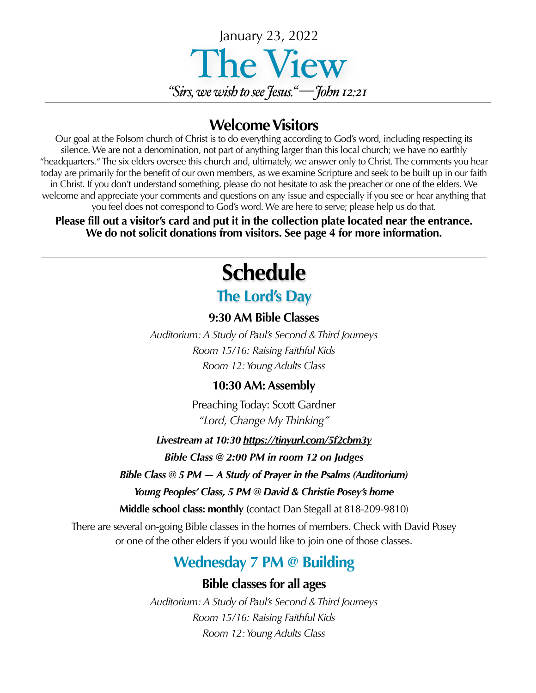

## **Welcome Visitors**

Our goal at the Folsom church of Christ is to do everything according to God's word, including respecting its silence. We are not a denomination, not part of anything larger than this local church; we have no earthly "headquarters." The six elders oversee this church and, ultimately, we answer only to Christ. The comments you hear today are primarily for the benefit of our own members, as we examine Scripture and seek to be built up in our faith in Christ. If you don't understand something, please do not hesitate to ask the preacher or one of the elders. We welcome and appreciate your comments and questions on any issue and especially if you see or hear anything that you feel does not correspond to God's word. We are here to serve; please help us do that.

**Please fill out a visitor's card and put it in the collection plate located near the entrance. We do not solicit donations from visitors. See page 4 for more information.**

# **Schedule The Lord's Day**

#### **9:30 AM Bible Classes**

*Auditorium: A Study of Paul's Second & Third Journeys Room 15/16: Raising Faithful Kids Room 12: Young Adults Class*

#### **10:30 AM: Assembly**

Preaching Today: Scott Gardner *"Lord, Change My Thinking"*

*Livestream at 10:30<https://tinyurl.com/5f2cbm3y>*

*Bible Class @ 2:00 PM in room 12 on Judges*

*Bible Class @ 5 PM — A Study of Prayer in the Psalms (Auditorium)*

*Young Peoples' Class, 5 PM @ David & Christie Posey's home* 

**Middle school class: monthly (**contact Dan Stegall at 818-209-9810)

There are several on-going Bible classes in the homes of members. Check with David Posey or one of the other elders if you would like to join one of those classes.

## **Wednesday 7 PM @ Building**

#### **Bible classes for all ages**

*Auditorium: A Study of Paul's Second & Third Journeys Room 15/16: Raising Faithful Kids Room 12: Young Adults Class*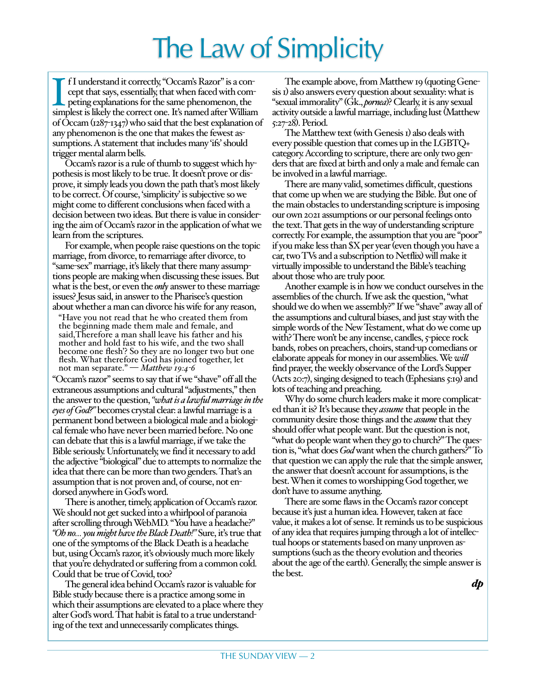# The Law of Simplicity

I I understand it correctly, "Occam's Razor" is a concept that says, essentially, that when faced with competing explanations for the same phenomenon, the simplest is likely the correct one. It's named after William f I understand it correctly, "Occam's Razor" is a concept that says, essentially, that when faced with competing explanations for the same phenomenon, the of Occam (1287-1347) who said that the best explanation of any phenomenon is the one that makes the fewest assumptions. A statement that includes many 'ifs' should trigger mental alarm bells.

Occam's razor is a rule of thumb to suggest which hypothesis is most likely to be true. It doesn't prove or disprove, it simply leads you down the path that's most likely to be correct. Of course, 'simplicity' is subjective so we might come to different conclusions when faced with a decision between two ideas. But there is value in considering the aim of Occam's razor in the application of what we learn from the scriptures.

For example, when people raise questions on the topic marriage, from divorce, to remarriage after divorce, to "same-sex" marriage, it's likely that there many assumptions people are making when discussing these issues. But what is the best, or even the *only* answer to these marriage issues? Jesus said, in answer to the Pharisee's question about whether a man can divorce his wife for any reason,

"Have you not read that he who created them from the beginning made them male and female, and said,Therefore a man shall leave his father and his mother and hold fast to his wife, and the two shall<br>become one flesh? So they are no longer two but one flesh. What therefore God has joined together, let not man separate." — *Matthew 19:4-6*

"Occam's razor" seems to say that if we "shave" off all the extraneous assumptions and cultural "adjustments," then the answer to the question, *"what is a lawful marriage in the eyes of God?"* becomes crystal clear: a lawful marriage is a permanent bond between a biological male and a biological female who have never been married before. No one can debate that this is a lawful marriage, if we take the Bible seriously. Unfortunately, we find it necessary to add the adjective "biological" due to attempts to normalize the idea that there can be more than two genders. That's an assumption that is not proven and, of course, not endorsed anywhere in God's word.

There is another, timely, application of Occam's razor. We should not get sucked into a whirlpool of paranoia after scrolling through WebMD. "You have a headache?" *"Oh no… you might have the Black Death!"* Sure, it's true that one of the symptoms of the Black Death is a headache but, using Occam's razor, it's obviously much more likely that you're dehydrated or suffering from a common cold. Could that be true of Covid, too?

The general idea behind Occam's razor is valuable for Bible study because there is a practice among some in which their assumptions are elevated to a place where they alter God's word. That habit is fatal to a true understanding of the text and unnecessarily complicates things.

The example above, from Matthew 19 (quoting Genesis 1) also answers every question about sexuality: what is "sexual immorality" (Gk., *pornea*)? Clearly, it is any sexual activity outside a lawful marriage, including lust (Matthew 5:27-28). Period.

The Matthew text (with Genesis 1) also deals with every possible question that comes up in the LGBTQ+ category. According to scripture, there are only two genders that are fixed at birth and only a male and female can be involved in a lawful marriage.

There are many valid, sometimes difficult, questions that come up when we are studying the Bible. But one of the main obstacles to understanding scripture is imposing our own 2021 assumptions or our personal feelings onto the text. That gets in the way of understanding scripture correctly. For example, the assumption that you are "poor" if you make less than \$X per year (even though you have a car, two TVs and a subscription to Netflix) will make it virtually impossible to understand the Bible's teaching about those who are truly poor.

Another example is in how we conduct ourselves in the assemblies of the church. If we ask the question, "what should we do when we assembly?" If we "shave" away all of the assumptions and cultural biases, and just stay with the simple words of the New Testament, what do we come up with? There won't be any incense, candles, 5-piece rock bands, robes on preachers, choirs, stand-up comedians or elaborate appeals for money in our assemblies. We *will* find prayer, the weekly observance of the Lord's Supper (Acts 20:7), singing designed to teach (Ephesians 5:19) and lots of teaching and preaching.

Why do some church leaders make it more complicated than it is? It's because they *assume* that people in the community desire those things and the *assume* that they should offer what people want. But the question is not, "what do people want when they go to church?" The question is, "what does *God* want when the church gathers?" To that question we can apply the rule that the simple answer, the answer that doesn't account for assumptions, is the best. When it comes to worshipping God together, we don't have to assume anything.

There are some flaws in the Occam's razor concept because it's just a human idea. However, taken at face value, it makes a lot of sense. It reminds us to be suspicious of any idea that requires jumping through a lot of intellectual hoops or statements based on many unproven assumptions (such as the theory evolution and theories about the age of the earth). Generally, the simple answer is the best.

*dp*